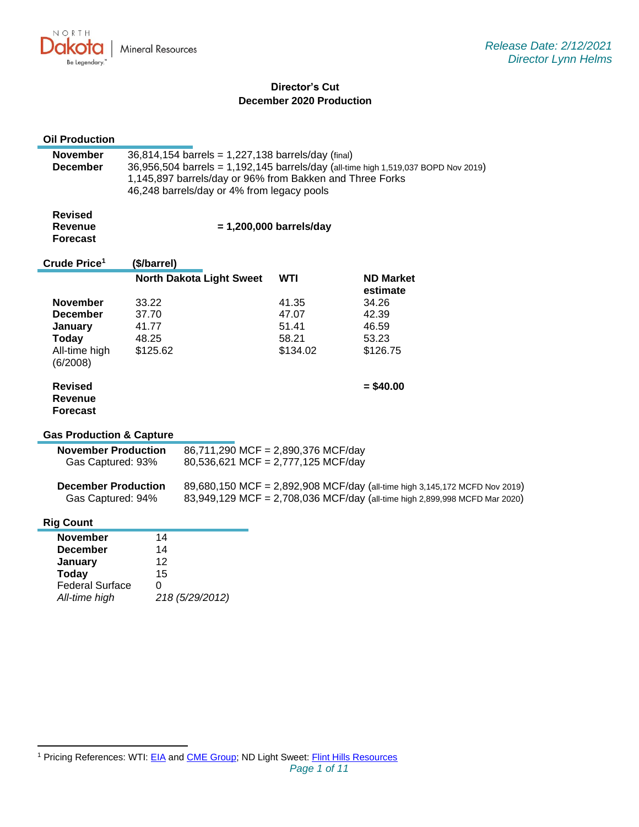NORTH **Mineral Resources** ukv. ro Be Legendary.

# **Director's Cut December 2020 Production**

| <b>Oil Production</b>                                                                                    |                                                                                                                                                                                                                                                    |                                                                          |                                              |                                                                                                                                                          |
|----------------------------------------------------------------------------------------------------------|----------------------------------------------------------------------------------------------------------------------------------------------------------------------------------------------------------------------------------------------------|--------------------------------------------------------------------------|----------------------------------------------|----------------------------------------------------------------------------------------------------------------------------------------------------------|
| <b>November</b><br><b>December</b>                                                                       | 36,814,154 barrels = 1,227,138 barrels/day (final)<br>36,956,504 barrels = 1,192,145 barrels/day (all-time high 1,519,037 BOPD Nov 2019)<br>1,145,897 barrels/day or 96% from Bakken and Three Forks<br>46,248 barrels/day or 4% from legacy pools |                                                                          |                                              |                                                                                                                                                          |
| <b>Revised</b><br><b>Revenue</b><br><b>Forecast</b>                                                      | $= 1,200,000$ barrels/day                                                                                                                                                                                                                          |                                                                          |                                              |                                                                                                                                                          |
| Crude Price <sup>1</sup>                                                                                 | (\$/barrel)                                                                                                                                                                                                                                        |                                                                          |                                              |                                                                                                                                                          |
|                                                                                                          |                                                                                                                                                                                                                                                    | <b>North Dakota Light Sweet</b>                                          | <b>WTI</b>                                   | <b>ND Market</b>                                                                                                                                         |
| <b>November</b><br><b>December</b><br>January<br><b>Today</b><br>All-time high<br>(6/2008)               | 33.22<br>37.70<br>41.77<br>48.25<br>\$125.62                                                                                                                                                                                                       |                                                                          | 41.35<br>47.07<br>51.41<br>58.21<br>\$134.02 | estimate<br>34.26<br>42.39<br>46.59<br>53.23<br>\$126.75                                                                                                 |
| <b>Revised</b><br>Revenue<br><b>Forecast</b>                                                             |                                                                                                                                                                                                                                                    |                                                                          |                                              | $= $40.00$                                                                                                                                               |
| <b>Gas Production &amp; Capture</b>                                                                      |                                                                                                                                                                                                                                                    |                                                                          |                                              |                                                                                                                                                          |
| <b>November Production</b><br>Gas Captured: 93%                                                          |                                                                                                                                                                                                                                                    | 86,711,290 MCF = 2,890,376 MCF/day<br>80,536,621 MCF = 2,777,125 MCF/day |                                              |                                                                                                                                                          |
| <b>December Production</b><br>Gas Captured: 94%                                                          |                                                                                                                                                                                                                                                    |                                                                          |                                              | 89,680,150 MCF = 2,892,908 MCF/day (all-time high 3,145,172 MCFD Nov 2019)<br>83,949,129 MCF = 2,708,036 MCF/day (all-time high 2,899,998 MCFD Mar 2020) |
| <b>Rig Count</b>                                                                                         |                                                                                                                                                                                                                                                    |                                                                          |                                              |                                                                                                                                                          |
| <b>November</b><br><b>December</b><br>January<br><b>Today</b><br><b>Federal Surface</b><br>All-time high | 14<br>14<br>12<br>15<br>0                                                                                                                                                                                                                          | 218 (5/29/2012)                                                          |                                              |                                                                                                                                                          |

<sup>1</sup> Pricing References: WTI: [EIA](https://www.eia.gov/dnav/pet/hist/LeafHandler.ashx?n=PET&s=RCLC1&f=M) and [CME Group;](https://www.cmegroup.com/trading/energy/crude-oil/light-sweet-crude.html) ND Light Sweet: [Flint Hills Resources](https://www.fhr.com/products-services/fuels-and-aromatics)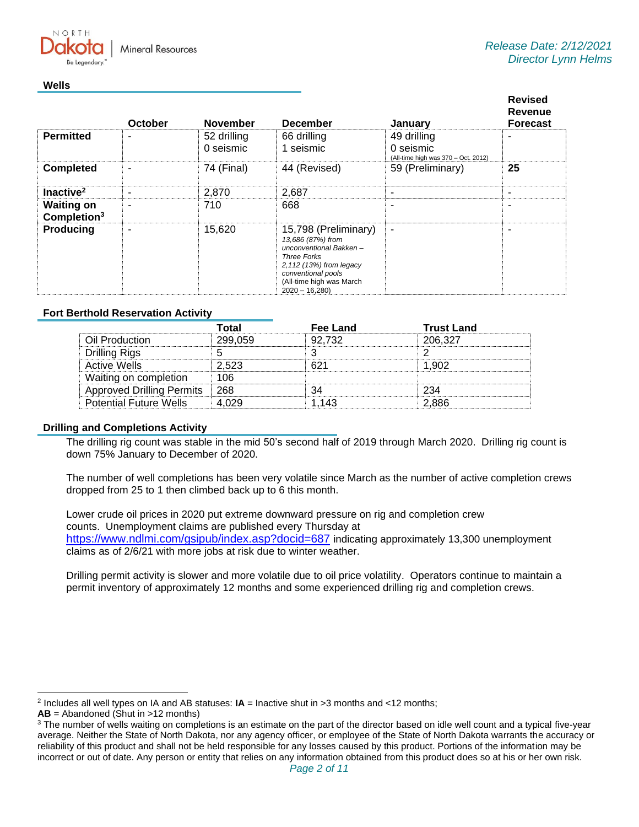**Mineral Resources** 

### **Wells**

NORTH

|                                              | October | <b>November</b>          | <b>December</b>                                                                                                                                                                           | January                                                         | <b>Revised</b><br>Revenue<br><b>Forecast</b> |
|----------------------------------------------|---------|--------------------------|-------------------------------------------------------------------------------------------------------------------------------------------------------------------------------------------|-----------------------------------------------------------------|----------------------------------------------|
| <b>Permitted</b>                             | -       | 52 drilling<br>0 seismic | 66 drilling<br>1 seismic                                                                                                                                                                  | 49 drilling<br>0 seismic<br>(All-time high was 370 - Oct. 2012) |                                              |
| <b>Completed</b>                             | ۰       | 74 (Final)               | 44 (Revised)                                                                                                                                                                              | 59 (Preliminary)                                                | 25                                           |
| Inactive <sup>2</sup>                        | ۰       | 2,870                    | 2,687                                                                                                                                                                                     | ٠                                                               |                                              |
| <b>Waiting on</b><br>Completion <sup>3</sup> | ۰       | 710                      | 668                                                                                                                                                                                       | ۰                                                               |                                              |
| <b>Producing</b>                             | ۰       | 15,620                   | 15,798 (Preliminary)<br>13,686 (87%) from<br>unconventional Bakken-<br><b>Three Forks</b><br>2,112 (13%) from legacy<br>conventional pools<br>(All-time high was March<br>$2020 - 16,280$ | $\blacksquare$                                                  |                                              |

### **Fort Berthold Reservation Activity**

|                                  | ⊺otal   | Fee Land | <b>Trust Land</b> |
|----------------------------------|---------|----------|-------------------|
| Oil Production                   | 299 059 | 92 732   | 206.327           |
| Drilling Rigs                    |         |          |                   |
| Active Wells                     | 2.523   |          | 1902              |
| Waiting on completion            |         |          |                   |
| <b>Approved Drilling Permits</b> | ା 268   |          | つつハ               |
| <b>Potential Future Wells</b>    |         |          | 2.886             |

### **Drilling and Completions Activity**

The drilling rig count was stable in the mid 50's second half of 2019 through March 2020. Drilling rig count is down 75% January to December of 2020.

The number of well completions has been very volatile since March as the number of active completion crews dropped from 25 to 1 then climbed back up to 6 this month.

Lower crude oil prices in 2020 put extreme downward pressure on rig and completion crew counts. Unemployment claims are published every Thursday at [https://www.ndlmi.com/gsipub/index.asp?docid=687](https://gcc02.safelinks.protection.outlook.com/?url=https%3A%2F%2Fwww.ndlmi.com%2Fgsipub%2Findex.asp%3Fdocid%3D687&data=04%7C01%7Ckahaarsager%40nd.gov%7Ca8904fcba86a4c329e4608d8cf6e651e%7C2dea0464da514a88bae2b3db94bc0c54%7C0%7C0%7C637487420347789746%7CUnknown%7CTWFpbGZsb3d8eyJWIjoiMC4wLjAwMDAiLCJQIjoiV2luMzIiLCJBTiI6Ik1haWwiLCJXVCI6Mn0%3D%7C1000&sdata=H0jXVYhrBqTKFzH1eLwpdAwEdUNb5VweoLRr%2FmBSfpA%3D&reserved=0) indicating approximately 13,300 unemployment claims as of 2/6/21 with more jobs at risk due to winter weather.

Drilling permit activity is slower and more volatile due to oil price volatility. Operators continue to maintain a permit inventory of approximately 12 months and some experienced drilling rig and completion crews.

<sup>2</sup> Includes all well types on IA and AB statuses: **IA** = Inactive shut in >3 months and <12 months;

**AB** = Abandoned (Shut in >12 months)

<sup>&</sup>lt;sup>3</sup> The number of wells waiting on completions is an estimate on the part of the director based on idle well count and a typical five-year average. Neither the State of North Dakota, nor any agency officer, or employee of the State of North Dakota warrants the accuracy or reliability of this product and shall not be held responsible for any losses caused by this product. Portions of the information may be incorrect or out of date. Any person or entity that relies on any information obtained from this product does so at his or her own risk.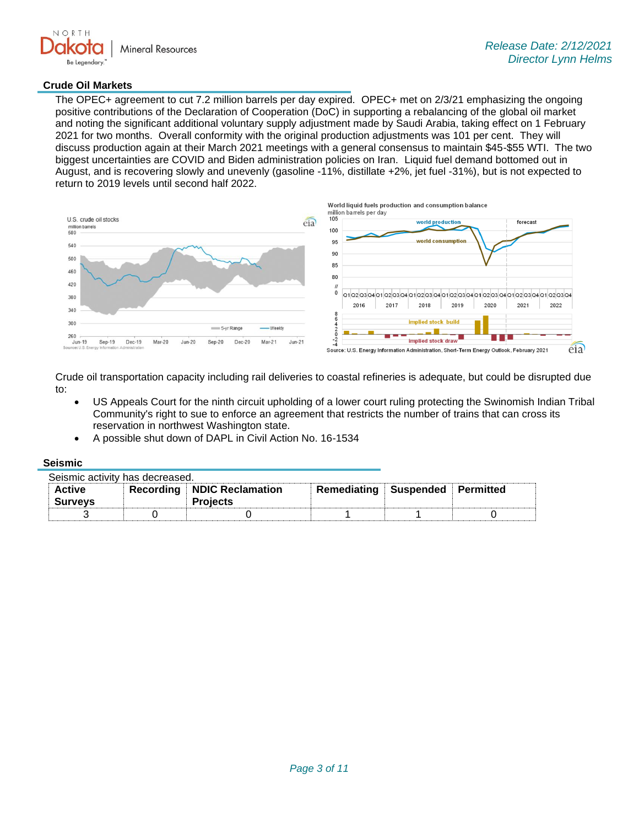

### **Crude Oil Markets**

The OPEC+ agreement to cut 7.2 million barrels per day expired. OPEC+ met on 2/3/21 emphasizing the ongoing positive contributions of the Declaration of Cooperation (DoC) in supporting a rebalancing of the global oil market and noting the significant additional voluntary supply adjustment made by Saudi Arabia, taking effect on 1 February 2021 for two months. Overall conformity with the original production adjustments was 101 per cent. They will discuss production again at their March 2021 meetings with a general consensus to maintain \$45-\$55 WTI. The two biggest uncertainties are COVID and Biden administration policies on Iran. Liquid fuel demand bottomed out in August, and is recovering slowly and unevenly (gasoline -11%, distillate +2%, jet fuel -31%), but is not expected to return to 2019 levels until second half 2022.



Crude oil transportation capacity including rail deliveries to coastal refineries is adequate, but could be disrupted due to:

- US Appeals Court for the ninth circuit upholding of a lower court ruling protecting the Swinomish Indian Tribal Community's right to sue to enforce an agreement that restricts the number of trains that can cross its reservation in northwest Washington state.
- A possible shut down of DAPL in Civil Action No. 16-1534

#### **Seismic**

| Seismic activity has decreased. |  |                                                 |                                 |  |  |
|---------------------------------|--|-------------------------------------------------|---------------------------------|--|--|
| <b>Active</b><br><b>Surveys</b> |  | Recording   NDIC Reclamation<br><b>Projects</b> | Remediating Suspended Permitted |  |  |
|                                 |  |                                                 |                                 |  |  |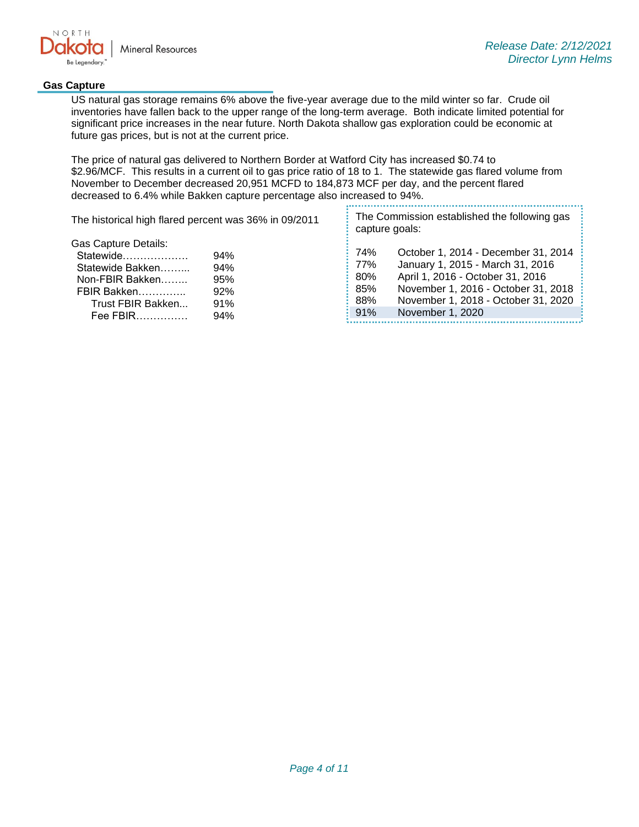

### **Gas Capture**

US natural gas storage remains 6% above the five-year average due to the mild winter so far. Crude oil inventories have fallen back to the upper range of the long-term average. Both indicate limited potential for significant price increases in the near future. North Dakota shallow gas exploration could be economic at future gas prices, but is not at the current price.

The price of natural gas delivered to Northern Border at Watford City has increased \$0.74 to \$2.96/MCF. This results in a current oil to gas price ratio of 18 to 1. The statewide gas flared volume from November to December decreased 20,951 MCFD to 184,873 MCF per day, and the percent flared decreased to 6.4% while Bakken capture percentage also increased to 94%.

| The historical high flared percent was 36% in 09/2011                                                                      |                                        |                                        | The Commission established the following gas<br>capture goals:                                                                                                                                                |  |  |
|----------------------------------------------------------------------------------------------------------------------------|----------------------------------------|----------------------------------------|---------------------------------------------------------------------------------------------------------------------------------------------------------------------------------------------------------------|--|--|
| Gas Capture Details:<br>Statewide<br>Statewide Bakken<br>Non-FBIR Bakken<br>FBIR Bakken<br>Trust FBIR Bakken<br>$Fee$ FBIR | 94%<br>94%<br>95%<br>92%<br>91%<br>94% | 74%<br>77%<br>80%<br>85%<br>88%<br>91% | October 1, 2014 - December 31, 2014<br>January 1, 2015 - March 31, 2016<br>April 1, 2016 - October 31, 2016<br>November 1, 2016 - October 31, 2018<br>November 1, 2018 - October 31, 2020<br>November 1, 2020 |  |  |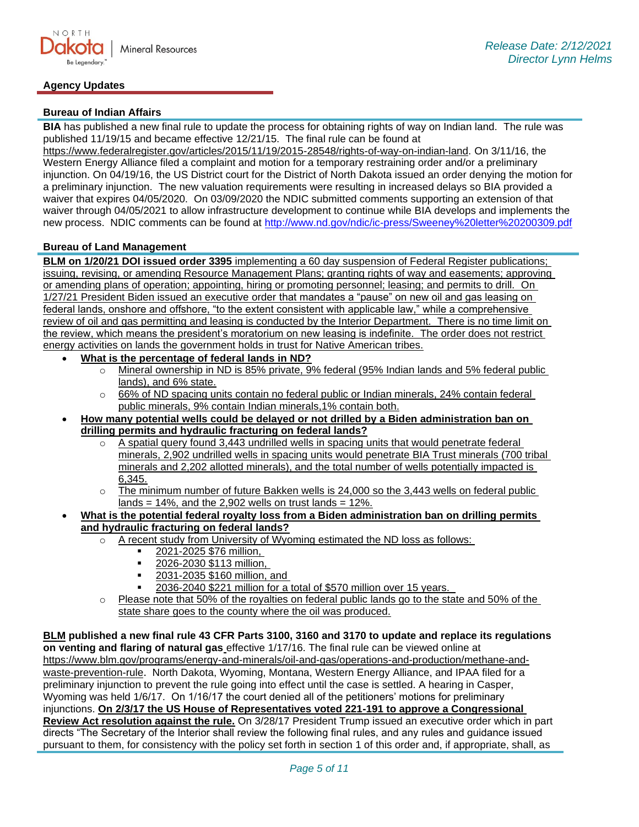# **Bureau of Indian Affairs**

**BIA** has published a new final rule to update the process for obtaining rights of way on Indian land. The rule was published 11/19/15 and became effective 12/21/15. The final rule can be found at

[https://www.federalregister.gov/articles/2015/11/19/2015-28548/rights-of-way-on-indian-land.](https://gcc02.safelinks.protection.outlook.com/?url=https%3A%2F%2Fwww.federalregister.gov%2Farticles%2F2015%2F11%2F19%2F2015-28548%2Frights-of-way-on-indian-land&data=04%7C01%7Ckahaarsager%40nd.gov%7C6928b6351bcb4a1a121b08d8b9647a47%7C2dea0464da514a88bae2b3db94bc0c54%7C0%7C0%7C637463188508268796%7CUnknown%7CTWFpbGZsb3d8eyJWIjoiMC4wLjAwMDAiLCJQIjoiV2luMzIiLCJBTiI6Ik1haWwiLCJXVCI6Mn0%3D%7C1000&sdata=a5l0ZWxiv927whetB9b%2F6DI4m6QOmSlIFot7WWc%2FKto%3D&reserved=0) On 3/11/16, the Western Energy Alliance filed a complaint and motion for a temporary restraining order and/or a preliminary injunction. On 04/19/16, the US District court for the District of North Dakota issued an order denying the motion for a preliminary injunction. The new valuation requirements were resulting in increased delays so BIA provided a waiver that expires 04/05/2020. On 03/09/2020 the NDIC submitted comments supporting an extension of that waiver through 04/05/2021 to allow infrastructure development to continue while BIA develops and implements the new process. NDIC comments can be found at<http://www.nd.gov/ndic/ic-press/Sweeney%20letter%20200309.pdf>

### **Bureau of Land Management**

**BLM on 1/20/21 DOI issued order 3395** implementing a 60 day suspension of Federal Register publications; issuing, revising, or amending Resource Management Plans; granting rights of way and easements; approving or amending plans of operation; appointing, hiring or promoting personnel; leasing; and permits to drill. On 1/27/21 President Biden issued an executive order that mandates a "pause" on new oil and gas leasing on federal lands, onshore and offshore, "to the extent consistent with applicable law," while a comprehensive review of oil and gas permitting and leasing is conducted by the Interior Department. There is no time limit on the review, which means the president's moratorium on new leasing is indefinite. The order does not restrict energy activities on lands the government holds in trust for Native American tribes.

- **What is the percentage of federal lands in ND?**
	- o Mineral ownership in ND is 85% private, 9% federal (95% Indian lands and 5% federal public lands), and 6% state.
	- $\circ$  66% of ND spacing units contain no federal public or Indian minerals, 24% contain federal public minerals, 9% contain Indian minerals,1% contain both.
- **How many potential wells could be delayed or not drilled by a Biden administration ban on drilling permits and hydraulic fracturing on federal lands?**
	- o A spatial query found 3,443 undrilled wells in spacing units that would penetrate federal minerals, 2,902 undrilled wells in spacing units would penetrate BIA Trust minerals (700 tribal minerals and 2,202 allotted minerals), and the total number of wells potentially impacted is 6,345.
	- $\circ$  The minimum number of future Bakken wells is 24,000 so the 3,443 wells on federal public lands =  $14\%$ , and the 2,902 wells on trust lands =  $12\%$ .
- **What is the potential federal royalty loss from a Biden administration ban on drilling permits and hydraulic fracturing on federal lands?**
	- $\circ$  A recent study from University of Wyoming estimated the ND loss as follows:
		- 2021-2025 \$76 million,
		- 2026-2030 \$113 million,
		- **■** 2031-2035 \$160 million, and
		- 2036-2040 \$221 million for a total of \$570 million over 15 years.
	- o Please note that 50% of the royalties on federal public lands go to the state and 50% of the state share goes to the county where the oil was produced.

**BLM published a new final rule 43 CFR Parts 3100, 3160 and 3170 to update and replace its regulations on venting and flaring of natural gas** effective 1/17/16. The final rule can be viewed online at [https://www.blm.gov/programs/energy-and-minerals/oil-and-gas/operations-and-production/methane-and](https://gcc02.safelinks.protection.outlook.com/?url=https%3A%2F%2Fwww.blm.gov%2Fprograms%2Fenergy-and-minerals%2Foil-and-gas%2Foperations-and-production%2Fmethane-and-waste-prevention-rule&data=04%7C01%7Ckahaarsager%40nd.gov%7Ca8904fcba86a4c329e4608d8cf6e651e%7C2dea0464da514a88bae2b3db94bc0c54%7C0%7C0%7C637487420347799705%7CUnknown%7CTWFpbGZsb3d8eyJWIjoiMC4wLjAwMDAiLCJQIjoiV2luMzIiLCJBTiI6Ik1haWwiLCJXVCI6Mn0%3D%7C1000&sdata=05SG7%2FheconRd10bcx5CCMcvX7nOlMiRcVR4mdNHLTg%3D&reserved=0)[waste-prevention-rule](https://gcc02.safelinks.protection.outlook.com/?url=https%3A%2F%2Fwww.blm.gov%2Fprograms%2Fenergy-and-minerals%2Foil-and-gas%2Foperations-and-production%2Fmethane-and-waste-prevention-rule&data=04%7C01%7Ckahaarsager%40nd.gov%7Ca8904fcba86a4c329e4608d8cf6e651e%7C2dea0464da514a88bae2b3db94bc0c54%7C0%7C0%7C637487420347799705%7CUnknown%7CTWFpbGZsb3d8eyJWIjoiMC4wLjAwMDAiLCJQIjoiV2luMzIiLCJBTiI6Ik1haWwiLCJXVCI6Mn0%3D%7C1000&sdata=05SG7%2FheconRd10bcx5CCMcvX7nOlMiRcVR4mdNHLTg%3D&reserved=0). North Dakota, Wyoming, Montana, Western Energy Alliance, and IPAA filed for a preliminary injunction to prevent the rule going into effect until the case is settled. A hearing in Casper, Wyoming was held 1/6/17. On 1/16/17 the court denied all of the petitioners' motions for preliminary injunctions. **On 2/3/17 the US House of Representatives voted 221-191 to approve a Congressional Review Act resolution against the rule.** On 3/28/17 President Trump issued an executive order which in part directs "The Secretary of the Interior shall review the following final rules, and any rules and guidance issued pursuant to them, for consistency with the policy set forth in section 1 of this order and, if appropriate, shall, as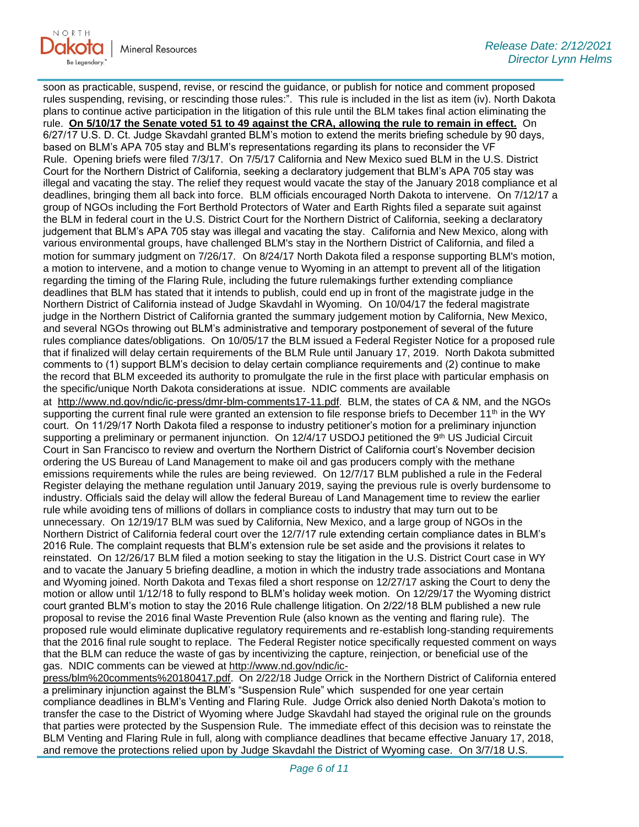soon as practicable, suspend, revise, or rescind the guidance, or publish for notice and comment proposed rules suspending, revising, or rescinding those rules:". This rule is included in the list as item (iv). North Dakota plans to continue active participation in the litigation of this rule until the BLM takes final action eliminating the rule. **On 5/10/17 the Senate voted 51 to 49 against the CRA, allowing the rule to remain in effect.** On 6/27/17 U.S. D. Ct. Judge Skavdahl granted BLM's motion to extend the merits briefing schedule by 90 days, based on BLM's APA 705 stay and BLM's representations regarding its plans to reconsider the VF Rule. Opening briefs were filed 7/3/17. On 7/5/17 California and New Mexico sued BLM in the U.S. District Court for the Northern District of California, seeking a declaratory judgement that BLM's APA 705 stay was illegal and vacating the stay. The relief they request would vacate the stay of the January 2018 compliance et al deadlines, bringing them all back into force. BLM officials encouraged North Dakota to intervene. On 7/12/17 a group of NGOs including the Fort Berthold Protectors of Water and Earth Rights filed a separate suit against the BLM in federal court in the U.S. District Court for the Northern District of California, seeking a declaratory judgement that BLM's APA 705 stay was illegal and vacating the stay. California and New Mexico, along with various environmental groups, have challenged BLM's stay in the Northern District of California, and filed a motion for summary judgment on 7/26/17. On 8/24/17 North Dakota filed a response supporting BLM's motion, a motion to intervene, and a motion to change venue to Wyoming in an attempt to prevent all of the litigation regarding the timing of the Flaring Rule, including the future rulemakings further extending compliance deadlines that BLM has stated that it intends to publish, could end up in front of the magistrate judge in the Northern District of California instead of Judge Skavdahl in Wyoming. On 10/04/17 the federal magistrate judge in the Northern District of California granted the summary judgement motion by California, New Mexico, and several NGOs throwing out BLM's administrative and temporary postponement of several of the future rules compliance dates/obligations. On 10/05/17 the BLM issued a Federal Register Notice for a proposed rule that if finalized will delay certain requirements of the BLM Rule until January 17, 2019. North Dakota submitted comments to (1) support BLM's decision to delay certain compliance requirements and (2) continue to make the record that BLM exceeded its authority to promulgate the rule in the first place with particular emphasis on the specific/unique North Dakota considerations at issue. NDIC comments are available at [http://www.nd.gov/ndic/ic-press/dmr-blm-comments17-11.pdf.](http://www.nd.gov/ndic/ic-press/dmr-blm-comments17-11.pdf) BLM, the states of CA & NM, and the NGOs supporting the current final rule were granted an extension to file response briefs to December 11<sup>th</sup> in the WY court. On 11/29/17 North Dakota filed a response to industry petitioner's motion for a preliminary injunction supporting a preliminary or permanent injunction. On 12/4/17 USDOJ petitioned the 9th US Judicial Circuit Court in San Francisco to review and overturn the Northern District of California court's November decision ordering the US Bureau of Land Management to make oil and gas producers comply with the methane emissions requirements while the rules are being reviewed. On 12/7/17 BLM published a rule in the Federal Register delaying the methane regulation until January 2019, saying the previous rule is overly burdensome to industry. Officials said the delay will allow the federal Bureau of Land Management time to review the earlier rule while avoiding tens of millions of dollars in compliance costs to industry that may turn out to be unnecessary. On 12/19/17 BLM was sued by California, New Mexico, and a large group of NGOs in the Northern District of California federal court over the 12/7/17 rule extending certain compliance dates in BLM's 2016 Rule. The complaint requests that BLM's extension rule be set aside and the provisions it relates to reinstated. On 12/26/17 BLM filed a motion seeking to stay the litigation in the U.S. District Court case in WY and to vacate the January 5 briefing deadline, a motion in which the industry trade associations and Montana and Wyoming joined. North Dakota and Texas filed a short response on 12/27/17 asking the Court to deny the motion or allow until 1/12/18 to fully respond to BLM's holiday week motion. On 12/29/17 the Wyoming district court granted BLM's motion to stay the 2016 Rule challenge litigation. On 2/22/18 BLM published a new rule proposal to revise the 2016 final Waste Prevention Rule (also known as the venting and flaring rule). The proposed rule would eliminate duplicative regulatory requirements and re-establish long-standing requirements that the 2016 final rule sought to replace. The Federal Register notice specifically requested comment on ways that the BLM can reduce the waste of gas by incentivizing the capture, reinjection, or beneficial use of the gas. NDIC comments can be viewed at [http://www.nd.gov/ndic/ic-](http://www.nd.gov/ndic/ic-press/blm%20comments%20180417.pdf)

[press/blm%20comments%20180417.pdf.](http://www.nd.gov/ndic/ic-press/blm%20comments%20180417.pdf) On 2/22/18 Judge Orrick in the Northern District of California entered a preliminary injunction against the BLM's "Suspension Rule" which suspended for one year certain compliance deadlines in BLM's Venting and Flaring Rule. Judge Orrick also denied North Dakota's motion to transfer the case to the District of Wyoming where Judge Skavdahl had stayed the original rule on the grounds that parties were protected by the Suspension Rule. The immediate effect of this decision was to reinstate the BLM Venting and Flaring Rule in full, along with compliance deadlines that became effective January 17, 2018, and remove the protections relied upon by Judge Skavdahl the District of Wyoming case. On 3/7/18 U.S.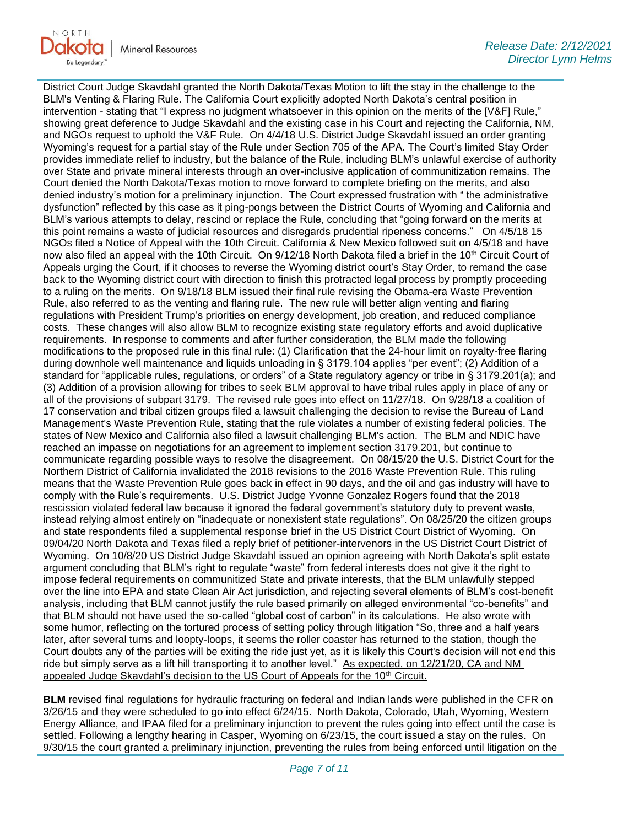

District Court Judge Skavdahl granted the North Dakota/Texas Motion to lift the stay in the challenge to the BLM's Venting & Flaring Rule. The California Court explicitly adopted North Dakota's central position in intervention - stating that "I express no judgment whatsoever in this opinion on the merits of the [V&F] Rule," showing great deference to Judge Skavdahl and the existing case in his Court and rejecting the California, NM, and NGOs request to uphold the V&F Rule. On 4/4/18 U.S. District Judge Skavdahl issued an order granting Wyoming's request for a partial stay of the Rule under Section 705 of the APA. The Court's limited Stay Order provides immediate relief to industry, but the balance of the Rule, including BLM's unlawful exercise of authority over State and private mineral interests through an over-inclusive application of communitization remains. The Court denied the North Dakota/Texas motion to move forward to complete briefing on the merits, and also denied industry's motion for a preliminary injunction. The Court expressed frustration with " the administrative dysfunction" reflected by this case as it ping-pongs between the District Courts of Wyoming and California and BLM's various attempts to delay, rescind or replace the Rule, concluding that "going forward on the merits at this point remains a waste of judicial resources and disregards prudential ripeness concerns." On 4/5/18 15 NGOs filed a Notice of Appeal with the 10th Circuit. California & New Mexico followed suit on 4/5/18 and have now also filed an appeal with the 10th Circuit. On 9/12/18 North Dakota filed a brief in the 10<sup>th</sup> Circuit Court of Appeals urging the Court, if it chooses to reverse the Wyoming district court's Stay Order, to remand the case back to the Wyoming district court with direction to finish this protracted legal process by promptly proceeding to a ruling on the merits. On 9/18/18 BLM issued their final rule revising the Obama-era Waste Prevention Rule, also referred to as the venting and flaring rule. The new rule will better align venting and flaring regulations with President Trump's priorities on energy development, job creation, and reduced compliance costs. These changes will also allow BLM to recognize existing state regulatory efforts and avoid duplicative requirements. In response to comments and after further consideration, the BLM made the following modifications to the proposed rule in this final rule: (1) Clarification that the 24-hour limit on royalty-free flaring during downhole well maintenance and liquids unloading in § 3179.104 applies "per event"; (2) Addition of a standard for "applicable rules, regulations, or orders" of a State regulatory agency or tribe in § 3179.201(a); and (3) Addition of a provision allowing for tribes to seek BLM approval to have tribal rules apply in place of any or all of the provisions of subpart 3179. The revised rule goes into effect on 11/27/18. On 9/28/18 a coalition of 17 conservation and tribal citizen groups filed a lawsuit challenging the decision to revise the Bureau of Land Management's Waste Prevention Rule, stating that the rule violates a number of existing federal policies. The states of New Mexico and California also filed a lawsuit challenging BLM's action. The BLM and NDIC have reached an impasse on negotiations for an agreement to implement section 3179.201, but continue to communicate regarding possible ways to resolve the disagreement. On 08/15/20 the U.S. District Court for the Northern District of California invalidated the 2018 revisions to the 2016 Waste Prevention Rule. This ruling means that the Waste Prevention Rule goes back in effect in 90 days, and the oil and gas industry will have to comply with the Rule's requirements. U.S. District Judge Yvonne Gonzalez Rogers found that the 2018 rescission violated federal law because it ignored the federal government's statutory duty to prevent waste, instead relying almost entirely on "inadequate or nonexistent state regulations". On 08/25/20 the citizen groups and state respondents filed a supplemental response brief in the US District Court District of Wyoming. On 09/04/20 North Dakota and Texas filed a reply brief of petitioner-intervenors in the US District Court District of Wyoming. On 10/8/20 US District Judge Skavdahl issued an opinion agreeing with North Dakota's split estate argument concluding that BLM's right to regulate "waste" from federal interests does not give it the right to impose federal requirements on communitized State and private interests, that the BLM unlawfully stepped over the line into EPA and state Clean Air Act jurisdiction, and rejecting several elements of BLM's cost-benefit analysis, including that BLM cannot justify the rule based primarily on alleged environmental "co-benefits" and that BLM should not have used the so-called "global cost of carbon" in its calculations. He also wrote with some humor, reflecting on the tortured process of setting policy through litigation "So, three and a half years later, after several turns and loopty-loops, it seems the roller coaster has returned to the station, though the Court doubts any of the parties will be exiting the ride just yet, as it is likely this Court's decision will not end this ride but simply serve as a lift hill transporting it to another level." As expected, on 12/21/20, CA and NM appealed Judge Skavdahl's decision to the US Court of Appeals for the 10<sup>th</sup> Circuit.

**BLM** revised final regulations for hydraulic fracturing on federal and Indian lands were published in the CFR on 3/26/15 and they were scheduled to go into effect 6/24/15. North Dakota, Colorado, Utah, Wyoming, Western Energy Alliance, and IPAA filed for a preliminary injunction to prevent the rules going into effect until the case is settled. Following a lengthy hearing in Casper, Wyoming on 6/23/15, the court issued a stay on the rules. On 9/30/15 the court granted a preliminary injunction, preventing the rules from being enforced until litigation on the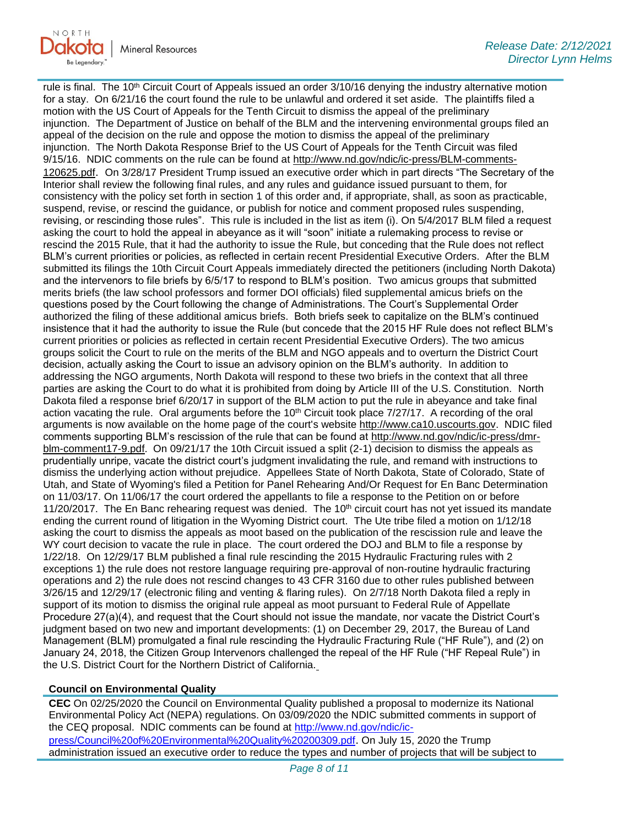

rule is final. The 10<sup>th</sup> Circuit Court of Appeals issued an order 3/10/16 denying the industry alternative motion for a stay. On 6/21/16 the court found the rule to be unlawful and ordered it set aside. The plaintiffs filed a motion with the US Court of Appeals for the Tenth Circuit to dismiss the appeal of the preliminary injunction. The Department of Justice on behalf of the BLM and the intervening environmental groups filed an appeal of the decision on the rule and oppose the motion to dismiss the appeal of the preliminary injunction. The North Dakota Response Brief to the US Court of Appeals for the Tenth Circuit was filed 9/15/16. NDIC comments on the rule can be found at [http://www.nd.gov/ndic/ic-press/BLM-comments-](http://www.nd.gov/ndic/ic-press/BLM-comments-120625.pdf)[120625.pdf](http://www.nd.gov/ndic/ic-press/BLM-comments-120625.pdf). On 3/28/17 President Trump issued an executive order which in part directs "The Secretary of the Interior shall review the following final rules, and any rules and guidance issued pursuant to them, for consistency with the policy set forth in section 1 of this order and, if appropriate, shall, as soon as practicable, suspend, revise, or rescind the guidance, or publish for notice and comment proposed rules suspending, revising, or rescinding those rules". This rule is included in the list as item (i). On 5/4/2017 BLM filed a request asking the court to hold the appeal in abeyance as it will "soon" initiate a rulemaking process to revise or rescind the 2015 Rule, that it had the authority to issue the Rule, but conceding that the Rule does not reflect BLM's current priorities or policies, as reflected in certain recent Presidential Executive Orders. After the BLM submitted its filings the 10th Circuit Court Appeals immediately directed the petitioners (including North Dakota) and the intervenors to file briefs by 6/5/17 to respond to BLM's position. Two amicus groups that submitted merits briefs (the law school professors and former DOI officials) filed supplemental amicus briefs on the questions posed by the Court following the change of Administrations. The Court's Supplemental Order authorized the filing of these additional amicus briefs. Both briefs seek to capitalize on the BLM's continued insistence that it had the authority to issue the Rule (but concede that the 2015 HF Rule does not reflect BLM's current priorities or policies as reflected in certain recent Presidential Executive Orders). The two amicus groups solicit the Court to rule on the merits of the BLM and NGO appeals and to overturn the District Court decision, actually asking the Court to issue an advisory opinion on the BLM's authority. In addition to addressing the NGO arguments, North Dakota will respond to these two briefs in the context that all three parties are asking the Court to do what it is prohibited from doing by Article III of the U.S. Constitution. North Dakota filed a response brief 6/20/17 in support of the BLM action to put the rule in abeyance and take final action vacating the rule. Oral arguments before the 10<sup>th</sup> Circuit took place 7/27/17. A recording of the oral arguments is now available on the home page of the court's website [http://www.ca10.uscourts.gov.](https://gcc02.safelinks.protection.outlook.com/?url=https%3A%2F%2Furldefense.proofpoint.com%2Fv2%2Furl%3Fu%3Dhttp-3A__www.ca10.uscourts.gov%26d%3DDwMGaQ%26c%3D2s2mvbfY0UoSKkl6_Ol9wg%26r%3D-wqsZnBxny594KY8HeElow%26m%3DUl_VtJUX6iW5pvHjCcBxUWtskC0F4Dhry3sPtcEHvCw%26s%3DlaRHiLDv5w8otcQWQjpn82WMieoB2AZ-Q4M1LFQPL5s%26e%3D&data=04%7C01%7Ckahaarsager%40nd.gov%7Ca8904fcba86a4c329e4608d8cf6e651e%7C2dea0464da514a88bae2b3db94bc0c54%7C0%7C0%7C637487420347799705%7CUnknown%7CTWFpbGZsb3d8eyJWIjoiMC4wLjAwMDAiLCJQIjoiV2luMzIiLCJBTiI6Ik1haWwiLCJXVCI6Mn0%3D%7C1000&sdata=ZcF%2BMRDuuEZt2iSINviBPn2pcMZJe4iWK%2B%2BrXBk9xos%3D&reserved=0) NDIC filed comments supporting BLM's rescission of the rule that can be found at [http://www.nd.gov/ndic/ic-press/dmr](http://www.nd.gov/ndic/ic-press/dmr-blm-comment17-9.pdf)[blm-comment17-9.pdf.](http://www.nd.gov/ndic/ic-press/dmr-blm-comment17-9.pdf) On 09/21/17 the 10th Circuit issued a split (2-1) decision to dismiss the appeals as prudentially unripe, vacate the district court's judgment invalidating the rule, and remand with instructions to dismiss the underlying action without prejudice. Appellees State of North Dakota, State of Colorado, State of Utah, and State of Wyoming's filed a Petition for Panel Rehearing And/Or Request for En Banc Determination on 11/03/17. On 11/06/17 the court ordered the appellants to file a response to the Petition on or before 11/20/2017. The En Banc rehearing request was denied. The 10<sup>th</sup> circuit court has not yet issued its mandate ending the current round of litigation in the Wyoming District court. The Ute tribe filed a motion on 1/12/18 asking the court to dismiss the appeals as moot based on the publication of the rescission rule and leave the WY court decision to vacate the rule in place. The court ordered the DOJ and BLM to file a response by 1/22/18. On 12/29/17 BLM published a final rule rescinding the 2015 Hydraulic Fracturing rules with 2 exceptions 1) the rule does not restore language requiring pre-approval of non-routine hydraulic fracturing operations and 2) the rule does not rescind changes to 43 CFR 3160 due to other rules published between 3/26/15 and 12/29/17 (electronic filing and venting & flaring rules). On 2/7/18 North Dakota filed a reply in support of its motion to dismiss the original rule appeal as moot pursuant to Federal Rule of Appellate Procedure 27(a)(4), and request that the Court should not issue the mandate, nor vacate the District Court's judgment based on two new and important developments: (1) on December 29, 2017, the Bureau of Land Management (BLM) promulgated a final rule rescinding the Hydraulic Fracturing Rule ("HF Rule"), and (2) on January 24, 2018, the Citizen Group Intervenors challenged the repeal of the HF Rule ("HF Repeal Rule") in the U.S. District Court for the Northern District of California.

### **Council on Environmental Quality**

**CEC** On 02/25/2020 the Council on Environmental Quality published a proposal to modernize its National Environmental Policy Act (NEPA) regulations. On 03/09/2020 the NDIC submitted comments in support of the CEQ proposal. NDIC comments can be found at [http://www.nd.gov/ndic/ic](http://www.nd.gov/ndic/ic-press/Council%20of%20Environmental%20Quality%20200309.pdf)[press/Council%20of%20Environmental%20Quality%20200309.pdf](http://www.nd.gov/ndic/ic-press/Council%20of%20Environmental%20Quality%20200309.pdf). On July 15, 2020 the Trump administration issued an executive order to reduce the types and number of projects that will be subject to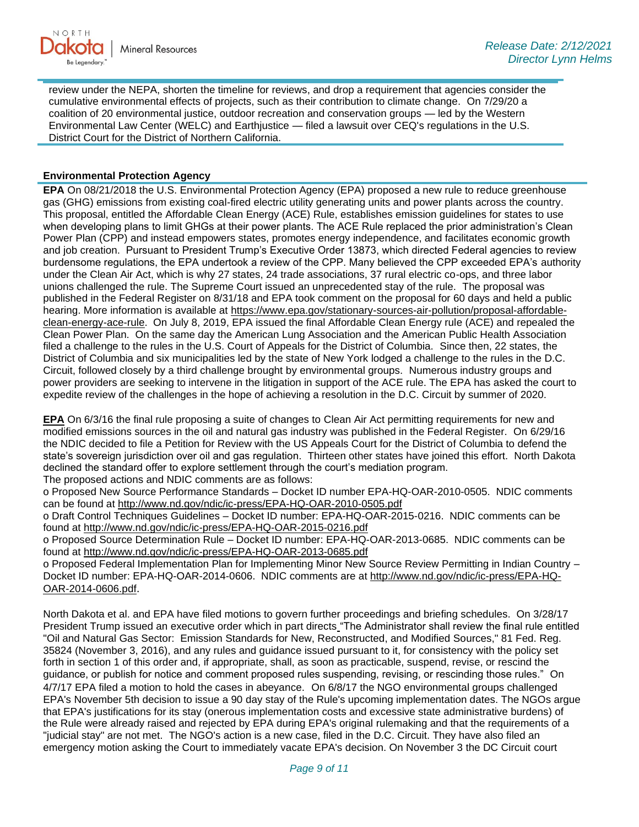review under the NEPA, shorten the timeline for reviews, and drop a requirement that agencies consider the cumulative environmental effects of projects, such as their contribution to climate change. On 7/29/20 a coalition of 20 environmental justice, outdoor recreation and conservation groups — led by the Western Environmental Law Center (WELC) and Earthjustice — filed a lawsuit over CEQ's regulations in the U.S. District Court for the District of Northern California.

# **Environmental Protection Agency**

**EPA** On 08/21/2018 the U.S. Environmental Protection Agency (EPA) proposed a new rule to reduce greenhouse gas (GHG) emissions from existing coal-fired electric utility generating units and power plants across the country. This proposal, entitled the Affordable Clean Energy (ACE) Rule, establishes emission guidelines for states to use when developing plans to limit GHGs at their power plants. The ACE Rule replaced the prior administration's Clean Power Plan (CPP) and instead empowers states, promotes energy independence, and facilitates economic growth and job creation. Pursuant to President Trump's Executive Order 13873, which directed Federal agencies to review burdensome regulations, the EPA undertook a review of the CPP. Many believed the CPP exceeded EPA's authority under the Clean Air Act, which is why 27 states, 24 trade associations, 37 rural electric co-ops, and three labor unions challenged the rule. The Supreme Court issued an unprecedented stay of the rule. The proposal was published in the Federal Register on 8/31/18 and EPA took comment on the proposal for 60 days and held a public hearing. More information is available at [https://www.epa.gov/stationary-sources-air-pollution/proposal-affordable](https://gcc02.safelinks.protection.outlook.com/?url=https%3A%2F%2Fwww.epa.gov%2Fstationary-sources-air-pollution%2Fproposal-affordable-clean-energy-ace-rule&data=04%7C01%7Ckahaarsager%40nd.gov%7Ca8904fcba86a4c329e4608d8cf6e651e%7C2dea0464da514a88bae2b3db94bc0c54%7C0%7C0%7C637487420347799705%7CUnknown%7CTWFpbGZsb3d8eyJWIjoiMC4wLjAwMDAiLCJQIjoiV2luMzIiLCJBTiI6Ik1haWwiLCJXVCI6Mn0%3D%7C1000&sdata=Qa3zPT87znr3%2BK6cB9%2B%2BQmbpRd%2Bd8mjkqlmnAe4Plv4%3D&reserved=0)[clean-energy-ace-rule.](https://gcc02.safelinks.protection.outlook.com/?url=https%3A%2F%2Fwww.epa.gov%2Fstationary-sources-air-pollution%2Fproposal-affordable-clean-energy-ace-rule&data=04%7C01%7Ckahaarsager%40nd.gov%7Ca8904fcba86a4c329e4608d8cf6e651e%7C2dea0464da514a88bae2b3db94bc0c54%7C0%7C0%7C637487420347799705%7CUnknown%7CTWFpbGZsb3d8eyJWIjoiMC4wLjAwMDAiLCJQIjoiV2luMzIiLCJBTiI6Ik1haWwiLCJXVCI6Mn0%3D%7C1000&sdata=Qa3zPT87znr3%2BK6cB9%2B%2BQmbpRd%2Bd8mjkqlmnAe4Plv4%3D&reserved=0) On July 8, 2019, EPA issued the final Affordable Clean Energy rule (ACE) and repealed the Clean Power Plan. On the same day the American Lung Association and the American Public Health Association filed a challenge to the rules in the U.S. Court of Appeals for the District of Columbia. Since then, 22 states, the District of Columbia and six municipalities led by the state of New York lodged a challenge to the rules in the D.C. Circuit, followed closely by a third challenge brought by environmental groups. Numerous industry groups and power providers are seeking to intervene in the litigation in support of the ACE rule. The EPA has asked the court to expedite review of the challenges in the hope of achieving a resolution in the D.C. Circuit by summer of 2020.

**EPA** On 6/3/16 the final rule proposing a suite of changes to Clean Air Act permitting requirements for new and modified emissions sources in the oil and natural gas industry was published in the Federal Register. On 6/29/16 the NDIC decided to file a Petition for Review with the US Appeals Court for the District of Columbia to defend the state's sovereign jurisdiction over oil and gas regulation. Thirteen other states have joined this effort. North Dakota declined the standard offer to explore settlement through the court's mediation program. The proposed actions and NDIC comments are as follows:

o Proposed New Source Performance Standards – Docket ID number EPA-HQ-OAR-2010-0505. NDIC comments can be found at<http://www.nd.gov/ndic/ic-press/EPA-HQ-OAR-2010-0505.pdf>

o Draft Control Techniques Guidelines – Docket ID number: EPA-HQ-OAR-2015-0216. NDIC comments can be found at<http://www.nd.gov/ndic/ic-press/EPA-HQ-OAR-2015-0216.pdf>

o Proposed Source Determination Rule – Docket ID number: EPA-HQ-OAR-2013-0685. NDIC comments can be found at<http://www.nd.gov/ndic/ic-press/EPA-HQ-OAR-2013-0685.pdf>

o Proposed Federal Implementation Plan for Implementing Minor New Source Review Permitting in Indian Country – Docket ID number: EPA-HQ-OAR-2014-0606. NDIC comments are at [http://www.nd.gov/ndic/ic-press/EPA-HQ-](http://www.nd.gov/ndic/ic-press/EPA-HQ-OAR-2014-0606.pdf)[OAR-2014-0606.pdf](http://www.nd.gov/ndic/ic-press/EPA-HQ-OAR-2014-0606.pdf).

North Dakota et al. and EPA have filed motions to govern further proceedings and briefing schedules. On 3/28/17 President Trump issued an executive order which in part directs "The Administrator shall review the final rule entitled "Oil and Natural Gas Sector: Emission Standards for New, Reconstructed, and Modified Sources," 81 Fed. Reg. 35824 (November 3, 2016), and any rules and guidance issued pursuant to it, for consistency with the policy set forth in section 1 of this order and, if appropriate, shall, as soon as practicable, suspend, revise, or rescind the guidance, or publish for notice and comment proposed rules suspending, revising, or rescinding those rules." On 4/7/17 EPA filed a motion to hold the cases in abeyance. On 6/8/17 the NGO environmental groups challenged EPA's November 5th decision to issue a 90 day stay of the Rule's upcoming implementation dates. The NGOs argue that EPA's justifications for its stay (onerous implementation costs and excessive state administrative burdens) of the Rule were already raised and rejected by EPA during EPA's original rulemaking and that the requirements of a "judicial stay" are not met. The NGO's action is a new case, filed in the D.C. Circuit. They have also filed an emergency motion asking the Court to immediately vacate EPA's decision. On November 3 the DC Circuit court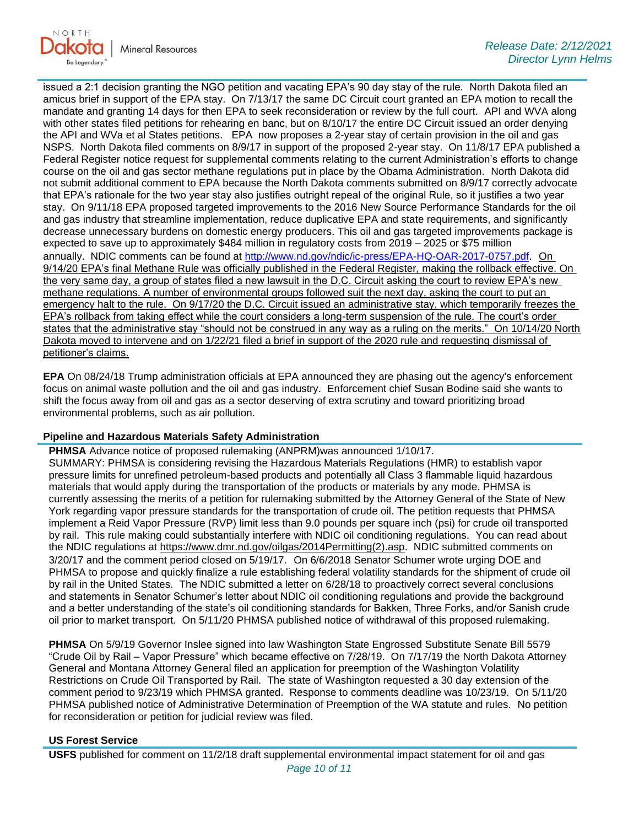

issued a 2:1 decision granting the NGO petition and vacating EPA's 90 day stay of the rule. North Dakota filed an amicus brief in support of the EPA stay. On 7/13/17 the same DC Circuit court granted an EPA motion to recall the mandate and granting 14 days for then EPA to seek reconsideration or review by the full court. API and WVA along with other states filed petitions for rehearing en banc, but on 8/10/17 the entire DC Circuit issued an order denying the API and WVa et al States petitions. EPA now proposes a 2-year stay of certain provision in the oil and gas NSPS. North Dakota filed comments on 8/9/17 in support of the proposed 2-year stay. On 11/8/17 EPA published a Federal Register notice request for supplemental comments relating to the current Administration's efforts to change course on the oil and gas sector methane regulations put in place by the Obama Administration. North Dakota did not submit additional comment to EPA because the North Dakota comments submitted on 8/9/17 correctly advocate that EPA's rationale for the two year stay also justifies outright repeal of the original Rule, so it justifies a two year stay. On 9/11/18 EPA proposed targeted improvements to the 2016 New Source Performance Standards for the oil and gas industry that streamline implementation, reduce duplicative EPA and state requirements, and significantly decrease unnecessary burdens on domestic energy producers. This oil and gas targeted improvements package is expected to save up to approximately \$484 million in regulatory costs from 2019 – 2025 or \$75 million annually. NDIC comments can be found at<http://www.nd.gov/ndic/ic-press/EPA-HQ-OAR-2017-0757.pdf>. On 9/14/20 EPA's final Methane Rule was officially published in the Federal Register, making the rollback effective. On the very same day, a group of states filed a new lawsuit in the D.C. Circuit asking the court to review EPA's new methane regulations. A number of environmental groups followed suit the next day, asking the court to put an emergency halt to the rule. On 9/17/20 the D.C. Circuit issued an administrative stay, which temporarily freezes the EPA's rollback from taking effect while the court considers a long-term suspension of the rule. The court's order states that the administrative stay "should not be construed in any way as a ruling on the merits." On 10/14/20 North Dakota moved to intervene and on 1/22/21 filed a brief in support of the 2020 rule and requesting dismissal of petitioner's claims.

**EPA** On 08/24/18 Trump administration officials at EPA announced they are phasing out the agency's enforcement focus on animal waste pollution and the oil and gas industry. Enforcement chief Susan Bodine said she wants to shift the focus away from oil and gas as a sector deserving of extra scrutiny and toward prioritizing broad environmental problems, such as air pollution.

### **Pipeline and Hazardous Materials Safety Administration**

**PHMSA** Advance notice of proposed rulemaking (ANPRM)was announced 1/10/17. SUMMARY: PHMSA is considering revising the Hazardous Materials Regulations (HMR) to establish vapor pressure limits for unrefined petroleum-based products and potentially all Class 3 flammable liquid hazardous materials that would apply during the transportation of the products or materials by any mode. PHMSA is currently assessing the merits of a petition for rulemaking submitted by the Attorney General of the State of New York regarding vapor pressure standards for the transportation of crude oil. The petition requests that PHMSA implement a Reid Vapor Pressure (RVP) limit less than 9.0 pounds per square inch (psi) for crude oil transported by rail. This rule making could substantially interfere with NDIC oil conditioning regulations. You can read about the NDIC regulations at [https://www.dmr.nd.gov/oilgas/2014Permitting\(2\).asp.](https://www.dmr.nd.gov/oilgas/2014Permitting(2).asp) NDIC submitted comments on 3/20/17 and the comment period closed on 5/19/17. On 6/6/2018 Senator Schumer wrote urging DOE and PHMSA to propose and quickly finalize a rule establishing federal volatility standards for the shipment of crude oil by rail in the United States. The NDIC submitted a letter on 6/28/18 to proactively correct several conclusions and statements in Senator Schumer's letter about NDIC oil conditioning regulations and provide the background and a better understanding of the state's oil conditioning standards for Bakken, Three Forks, and/or Sanish crude oil prior to market transport. On 5/11/20 PHMSA published notice of withdrawal of this proposed rulemaking.

**PHMSA** On 5/9/19 Governor Inslee signed into law Washington State Engrossed Substitute Senate Bill 5579 "Crude Oil by Rail – Vapor Pressure" which became effective on 7/28/19. On 7/17/19 the North Dakota Attorney General and Montana Attorney General filed an application for preemption of the Washington Volatility Restrictions on Crude Oil Transported by Rail. The state of Washington requested a 30 day extension of the comment period to 9/23/19 which PHMSA granted. Response to comments deadline was 10/23/19. On 5/11/20 PHMSA published notice of Administrative Determination of Preemption of the WA statute and rules. No petition for reconsideration or petition for judicial review was filed.

### **US Forest Service**